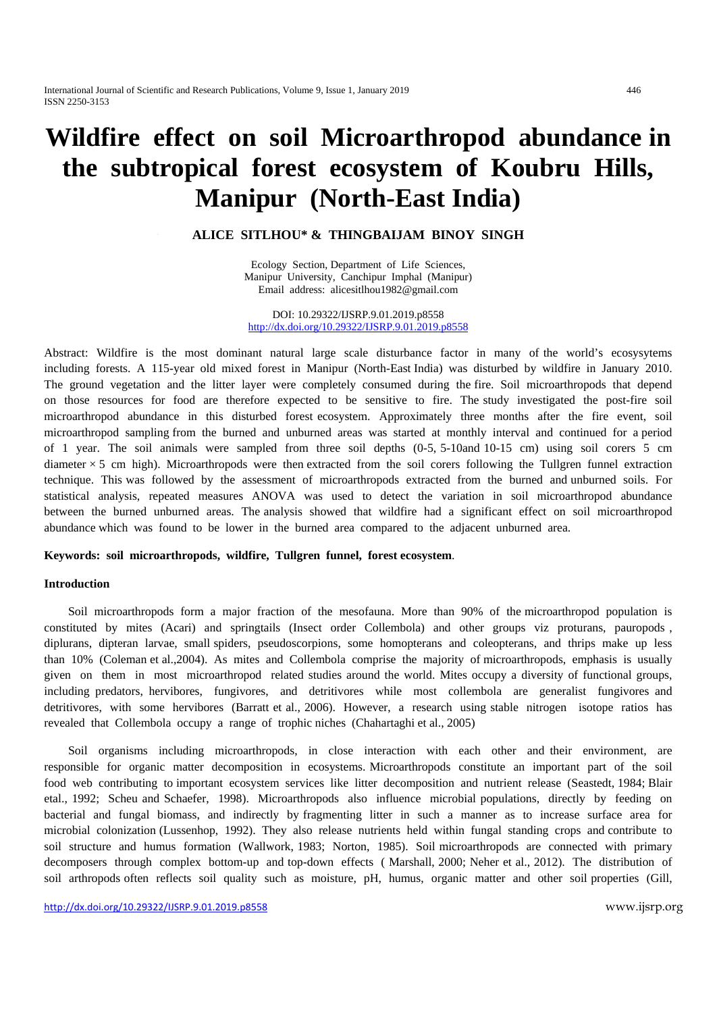# **Wildfire effect on soil Microarthropod abundance in the subtropical forest ecosystem of Koubru Hills, Manipur (North-East India)**

# **ALICE SITLHOU\* & THINGBAIJAM BINOY SINGH**

Ecology Section, Department of Life Sciences, Manipur University, Canchipur Imphal (Manipur) Email address: alicesitlhou1982@gmail.com

#### DOI: 10.29322/IJSRP.9.01.2019.p8558 <http://dx.doi.org/10.29322/IJSRP.9.01.2019.p8558>

Abstract: Wildfire is the most dominant natural large scale disturbance factor in many of the world's ecosysytems including forests. A 115-year old mixed forest in Manipur (North-East India) was disturbed by wildfire in January 2010. The ground vegetation and the litter layer were completely consumed during the fire. Soil microarthropods that depend on those resources for food are therefore expected to be sensitive to fire. The study investigated the post-fire soil microarthropod abundance in this disturbed forest ecosystem. Approximately three months after the fire event, soil microarthropod sampling from the burned and unburned areas was started at monthly interval and continued for a period of 1 year. The soil animals were sampled from three soil depths (0-5, 5-10and 10-15 cm) using soil corers 5 cm diameter  $\times$  5 cm high). Microarthropods were then extracted from the soil corers following the Tullgren funnel extraction technique. This was followed by the assessment of microarthropods extracted from the burned and unburned soils. For statistical analysis, repeated measures ANOVA was used to detect the variation in soil microarthropod abundance between the burned unburned areas. The analysis showed that wildfire had a significant effect on soil microarthropod abundance which was found to be lower in the burned area compared to the adjacent unburned area.

#### **Keywords: soil microarthropods, wildfire, Tullgren funnel, forest ecosystem**.

### **Introduction**

 Soil microarthropods form a major fraction of the mesofauna. More than 90% of the microarthropod population is constituted by mites (Acari) and springtails (Insect order Collembola) and other groups viz proturans, pauropods , diplurans, dipteran larvae, small spiders, pseudoscorpions, some homopterans and coleopterans, and thrips make up less than 10% (Coleman et al.,2004). As mites and Collembola comprise the majority of microarthropods, emphasis is usually given on them in most microarthropod related studies around the world. Mites occupy a diversity of functional groups, including predators, hervibores, fungivores, and detritivores while most collembola are generalist fungivores and detritivores, with some hervibores (Barratt et al., 2006). However, a research using stable nitrogen isotope ratios has revealed that Collembola occupy a range of trophic niches (Chahartaghi et al., 2005)

 Soil organisms including microarthropods, in close interaction with each other and their environment, are responsible for organic matter decomposition in ecosystems. Microarthropods constitute an important part of the soil food web contributing to important ecosystem services like litter decomposition and nutrient release (Seastedt, 1984; Blair etal., 1992; Scheu and Schaefer, 1998). Microarthropods also influence microbial populations, directly by feeding on bacterial and fungal biomass, and indirectly by fragmenting litter in such a manner as to increase surface area for microbial colonization (Lussenhop, 1992). They also release nutrients held within fungal standing crops and contribute to soil structure and humus formation (Wallwork, 1983; Norton, 1985). Soil microarthropods are connected with primary decomposers through complex bottom-up and top-down effects ( Marshall, 2000; Neher et al., 2012). The distribution of soil arthropods often reflects soil quality such as moisture, pH, humus, organic matter and other soil properties (Gill,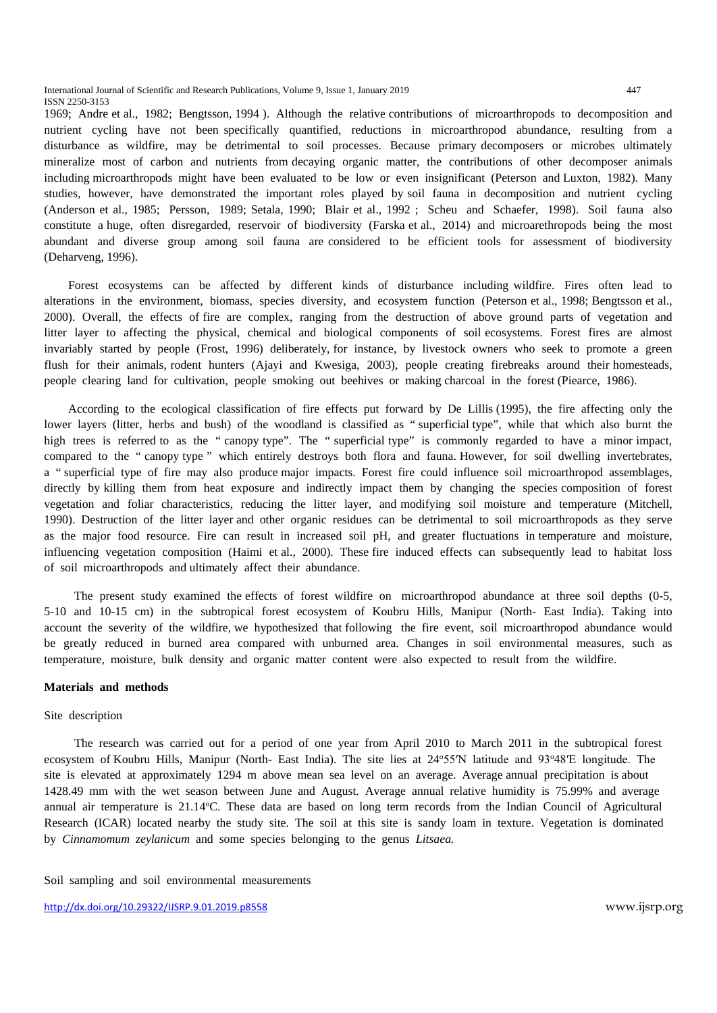International Journal of Scientific and Research Publications, Volume 9, Issue 1, January 2019 447 ISSN 2250-3153

1969; Andre et al., 1982; Bengtsson, 1994 ). Although the relative contributions of microarthropods to decomposition and nutrient cycling have not been specifically quantified, reductions in microarthropod abundance, resulting from a disturbance as wildfire, may be detrimental to soil processes. Because primary decomposers or microbes ultimately mineralize most of carbon and nutrients from decaying organic matter, the contributions of other decomposer animals including microarthropods might have been evaluated to be low or even insignificant (Peterson and Luxton, 1982). Many studies, however, have demonstrated the important roles played by soil fauna in decomposition and nutrient cycling (Anderson et al., 1985; Persson, 1989; Setala, 1990; Blair et al., 1992 ; Scheu and Schaefer, 1998). Soil fauna also constitute a huge, often disregarded, reservoir of biodiversity (Farska et al., 2014) and microarethropods being the most abundant and diverse group among soil fauna are considered to be efficient tools for assessment of biodiversity (Deharveng, 1996).

 Forest ecosystems can be affected by different kinds of disturbance including wildfire. Fires often lead to alterations in the environment, biomass, species diversity, and ecosystem function (Peterson et al., 1998; Bengtsson et al., 2000). Overall, the effects of fire are complex, ranging from the destruction of above ground parts of vegetation and litter layer to affecting the physical, chemical and biological components of soil ecosystems. Forest fires are almost invariably started by people (Frost, 1996) deliberately, for instance, by livestock owners who seek to promote a green flush for their animals, rodent hunters (Ajayi and Kwesiga, 2003), people creating firebreaks around their homesteads, people clearing land for cultivation, people smoking out beehives or making charcoal in the forest (Piearce, 1986).

 According to the ecological classification of fire effects put forward by De Lillis (1995), the fire affecting only the lower layers (litter, herbs and bush) of the woodland is classified as " superficial type", while that which also burnt the high trees is referred to as the "canopy type". The " superficial type" is commonly regarded to have a minor impact, compared to the " canopy type " which entirely destroys both flora and fauna. However, for soil dwelling invertebrates, a " superficial type of fire may also produce major impacts. Forest fire could influence soil microarthropod assemblages, directly by killing them from heat exposure and indirectly impact them by changing the species composition of forest vegetation and foliar characteristics, reducing the litter layer, and modifying soil moisture and temperature (Mitchell, 1990). Destruction of the litter layer and other organic residues can be detrimental to soil microarthropods as they serve as the major food resource. Fire can result in increased soil pH, and greater fluctuations in temperature and moisture, influencing vegetation composition (Haimi et al., 2000). These fire induced effects can subsequently lead to habitat loss of soil microarthropods and ultimately affect their abundance.

 The present study examined the effects of forest wildfire on microarthropod abundance at three soil depths (0-5, 5-10 and 10-15 cm) in the subtropical forest ecosystem of Koubru Hills, Manipur (North- East India). Taking into account the severity of the wildfire, we hypothesized that following the fire event, soil microarthropod abundance would be greatly reduced in burned area compared with unburned area. Changes in soil environmental measures, such as temperature, moisture, bulk density and organic matter content were also expected to result from the wildfire.

#### **Materials and methods**

### Site description

 The research was carried out for a period of one year from April 2010 to March 2011 in the subtropical forest ecosystem of Koubru Hills, Manipur (North- East India). The site lies at 24°55'N latitude and 93°48'E longitude. The site is elevated at approximately 1294 m above mean sea level on an average. Average annual precipitation is about 1428.49 mm with the wet season between June and August. Average annual relative humidity is 75.99% and average annual air temperature is 21.14°C. These data are based on long term records from the Indian Council of Agricultural Research (ICAR) located nearby the study site. The soil at this site is sandy loam in texture. Vegetation is dominated by *Cinnamomum zeylanicum* and some species belonging to the genus *Litsaea.*

Soil sampling and soil environmental measurements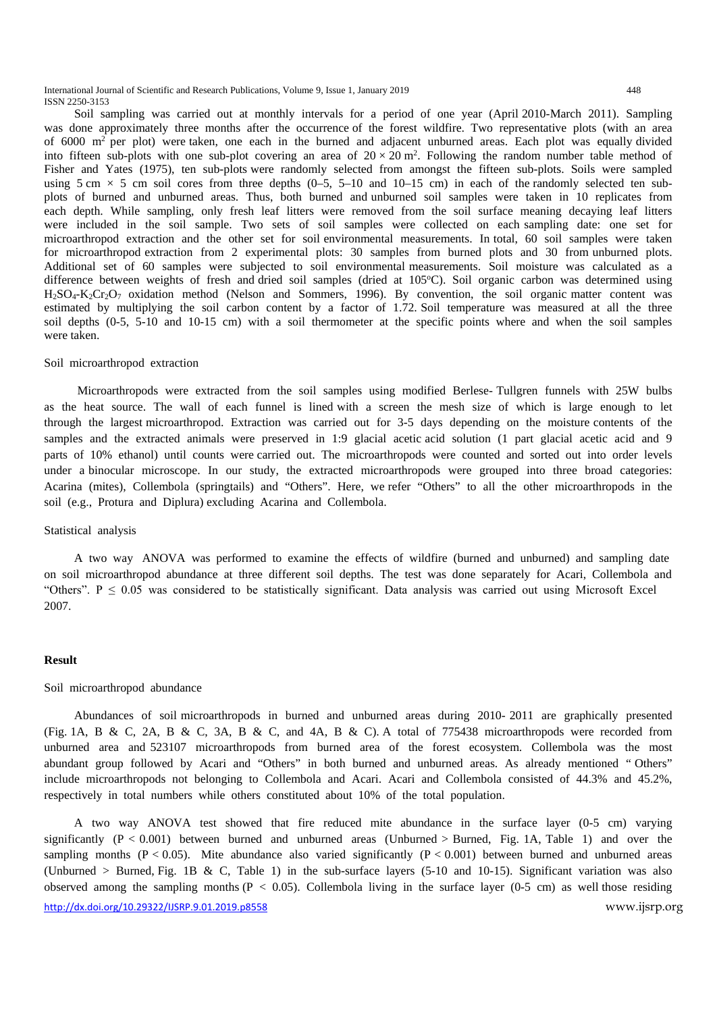International Journal of Scientific and Research Publications, Volume 9, Issue 1, January 2019 448 ISSN 2250-3153

 Soil sampling was carried out at monthly intervals for a period of one year (April 2010-March 2011). Sampling was done approximately three months after the occurrence of the forest wildfire. Two representative plots (with an area of 6000  $m<sup>2</sup>$  per plot) were taken, one each in the burned and adjacent unburned areas. Each plot was equally divided into fifteen sub-plots with one sub-plot covering an area of  $20 \times 20$  m<sup>2</sup>. Following the random number table method of Fisher and Yates (1975), ten sub-plots were randomly selected from amongst the fifteen sub-plots. Soils were sampled using 5 cm  $\times$  5 cm soil cores from three depths (0–5, 5–10 and 10–15 cm) in each of the randomly selected ten subplots of burned and unburned areas. Thus, both burned and unburned soil samples were taken in 10 replicates from each depth. While sampling, only fresh leaf litters were removed from the soil surface meaning decaying leaf litters were included in the soil sample. Two sets of soil samples were collected on each sampling date: one set for microarthropod extraction and the other set for soil environmental measurements. In total, 60 soil samples were taken for microarthropod extraction from 2 experimental plots: 30 samples from burned plots and 30 from unburned plots. Additional set of 60 samples were subjected to soil environmental measurements. Soil moisture was calculated as a difference between weights of fresh and dried soil samples (dried at 105°C). Soil organic carbon was determined using H2SO4-K2Cr2O7 oxidation method (Nelson and Sommers, 1996). By convention, the soil organic matter content was estimated by multiplying the soil carbon content by a factor of 1.72. Soil temperature was measured at all the three soil depths (0-5, 5-10 and 10-15 cm) with a soil thermometer at the specific points where and when the soil samples were taken.

#### Soil microarthropod extraction

 Microarthropods were extracted from the soil samples using modified Berlese- Tullgren funnels with 25W bulbs as the heat source. The wall of each funnel is lined with a screen the mesh size of which is large enough to let through the largest microarthropod. Extraction was carried out for 3-5 days depending on the moisture contents of the samples and the extracted animals were preserved in 1:9 glacial acetic acid solution (1 part glacial acetic acid and 9 parts of 10% ethanol) until counts were carried out. The microarthropods were counted and sorted out into order levels under a binocular microscope. In our study, the extracted microarthropods were grouped into three broad categories: Acarina (mites), Collembola (springtails) and "Others". Here, we refer "Others" to all the other microarthropods in the soil (e.g., Protura and Diplura) excluding Acarina and Collembola.

#### Statistical analysis

 A two way ANOVA was performed to examine the effects of wildfire (burned and unburned) and sampling date on soil microarthropod abundance at three different soil depths. The test was done separately for Acari, Collembola and "Others".  $P \le 0.05$  was considered to be statistically significant. Data analysis was carried out using Microsoft Excel 2007.

#### **Result**

#### Soil microarthropod abundance

 Abundances of soil microarthropods in burned and unburned areas during 2010- 2011 are graphically presented (Fig. 1A, B & C, 2A, B & C, 3A, B & C, and 4A, B & C). A total of 775438 microarthropods were recorded from unburned area and 523107 microarthropods from burned area of the forest ecosystem. Collembola was the most abundant group followed by Acari and "Others" in both burned and unburned areas. As already mentioned " Others" include microarthropods not belonging to Collembola and Acari. Acari and Collembola consisted of 44.3% and 45.2%, respectively in total numbers while others constituted about 10% of the total population.

<http://dx.doi.org/10.29322/IJSRP.9.01.2019.p8558> www.ijsrp.org A two way ANOVA test showed that fire reduced mite abundance in the surface layer (0-5 cm) varying significantly  $(P < 0.001)$  between burned and unburned areas (Unburned > Burned, Fig. 1A, Table 1) and over the sampling months ( $P < 0.05$ ). Mite abundance also varied significantly ( $P < 0.001$ ) between burned and unburned areas (Unburned > Burned, Fig. 1B & C, Table 1) in the sub-surface layers (5-10 and 10-15). Significant variation was also observed among the sampling months ( $P < 0.05$ ). Collembola living in the surface layer (0-5 cm) as well those residing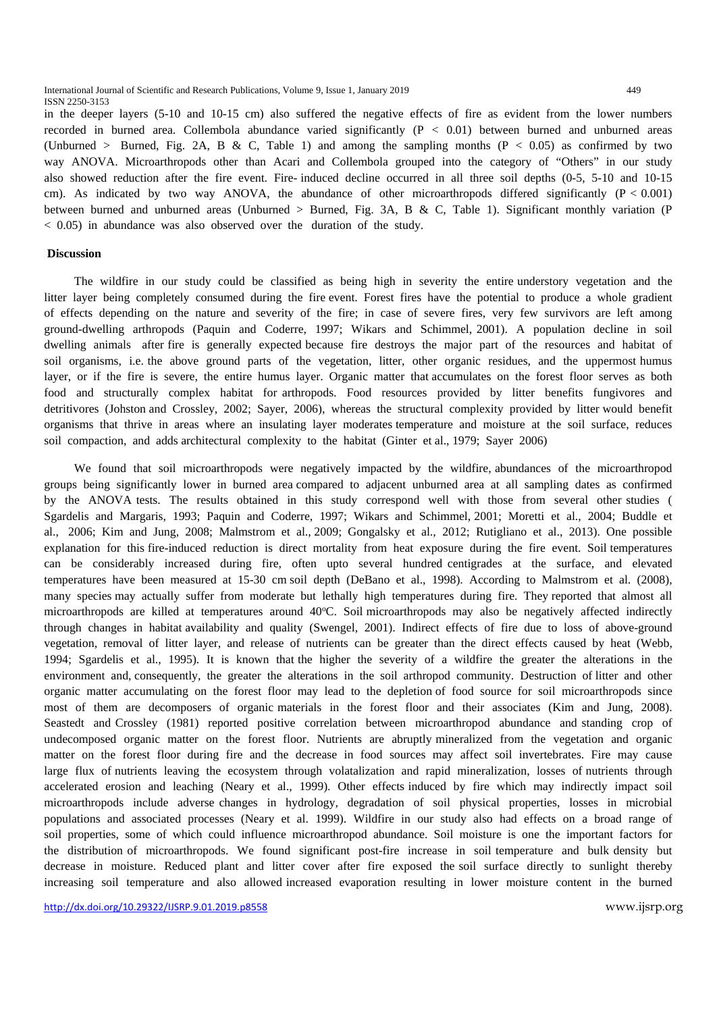International Journal of Scientific and Research Publications, Volume 9, Issue 1, January 2019 449 ISSN 2250-3153

in the deeper layers (5-10 and 10-15 cm) also suffered the negative effects of fire as evident from the lower numbers recorded in burned area. Collembola abundance varied significantly  $(P < 0.01)$  between burned and unburned areas (Unburned > Burned, Fig. 2A, B & C, Table 1) and among the sampling months  $(P < 0.05)$  as confirmed by two way ANOVA. Microarthropods other than Acari and Collembola grouped into the category of "Others" in our study also showed reduction after the fire event. Fire- induced decline occurred in all three soil depths (0-5, 5-10 and 10-15 cm). As indicated by two way ANOVA, the abundance of other microarthropods differed significantly  $(P < 0.001)$ between burned and unburned areas (Unburned > Burned, Fig. 3A, B & C, Table 1). Significant monthly variation (P < 0.05) in abundance was also observed over the duration of the study.

#### **Discussion**

 The wildfire in our study could be classified as being high in severity the entire understory vegetation and the litter layer being completely consumed during the fire event. Forest fires have the potential to produce a whole gradient of effects depending on the nature and severity of the fire; in case of severe fires, very few survivors are left among ground-dwelling arthropods (Paquin and Coderre, 1997; Wikars and Schimmel, 2001). A population decline in soil dwelling animals after fire is generally expected because fire destroys the major part of the resources and habitat of soil organisms, i.e. the above ground parts of the vegetation, litter, other organic residues, and the uppermost humus layer, or if the fire is severe, the entire humus layer. Organic matter that accumulates on the forest floor serves as both food and structurally complex habitat for arthropods. Food resources provided by litter benefits fungivores and detritivores (Johston and Crossley, 2002; Sayer, 2006), whereas the structural complexity provided by litter would benefit organisms that thrive in areas where an insulating layer moderates temperature and moisture at the soil surface, reduces soil compaction, and adds architectural complexity to the habitat (Ginter et al., 1979; Sayer 2006)

 We found that soil microarthropods were negatively impacted by the wildfire, abundances of the microarthropod groups being significantly lower in burned area compared to adjacent unburned area at all sampling dates as confirmed by the ANOVA tests. The results obtained in this study correspond well with those from several other studies ( Sgardelis and Margaris, 1993; Paquin and Coderre, 1997; Wikars and Schimmel, 2001; Moretti et al., 2004; Buddle et al., 2006; Kim and Jung, 2008; Malmstrom et al., 2009; Gongalsky et al., 2012; Rutigliano et al., 2013). One possible explanation for this fire-induced reduction is direct mortality from heat exposure during the fire event. Soil temperatures can be considerably increased during fire, often upto several hundred centigrades at the surface, and elevated temperatures have been measured at 15-30 cm soil depth (DeBano et al., 1998). According to Malmstrom et al. (2008), many species may actually suffer from moderate but lethally high temperatures during fire. They reported that almost all microarthropods are killed at temperatures around 40°C. Soil microarthropods may also be negatively affected indirectly through changes in habitat availability and quality (Swengel, 2001). Indirect effects of fire due to loss of above-ground vegetation, removal of litter layer, and release of nutrients can be greater than the direct effects caused by heat (Webb, 1994; Sgardelis et al., 1995). It is known that the higher the severity of a wildfire the greater the alterations in the environment and, consequently, the greater the alterations in the soil arthropod community. Destruction of litter and other organic matter accumulating on the forest floor may lead to the depletion of food source for soil microarthropods since most of them are decomposers of organic materials in the forest floor and their associates (Kim and Jung, 2008). Seastedt and Crossley (1981) reported positive correlation between microarthropod abundance and standing crop of undecomposed organic matter on the forest floor. Nutrients are abruptly mineralized from the vegetation and organic matter on the forest floor during fire and the decrease in food sources may affect soil invertebrates. Fire may cause large flux of nutrients leaving the ecosystem through volatalization and rapid mineralization, losses of nutrients through accelerated erosion and leaching (Neary et al., 1999). Other effects induced by fire which may indirectly impact soil microarthropods include adverse changes in hydrology, degradation of soil physical properties, losses in microbial populations and associated processes (Neary et al. 1999). Wildfire in our study also had effects on a broad range of soil properties, some of which could influence microarthropod abundance. Soil moisture is one the important factors for the distribution of microarthropods. We found significant post-fire increase in soil temperature and bulk density but decrease in moisture. Reduced plant and litter cover after fire exposed the soil surface directly to sunlight thereby increasing soil temperature and also allowed increased evaporation resulting in lower moisture content in the burned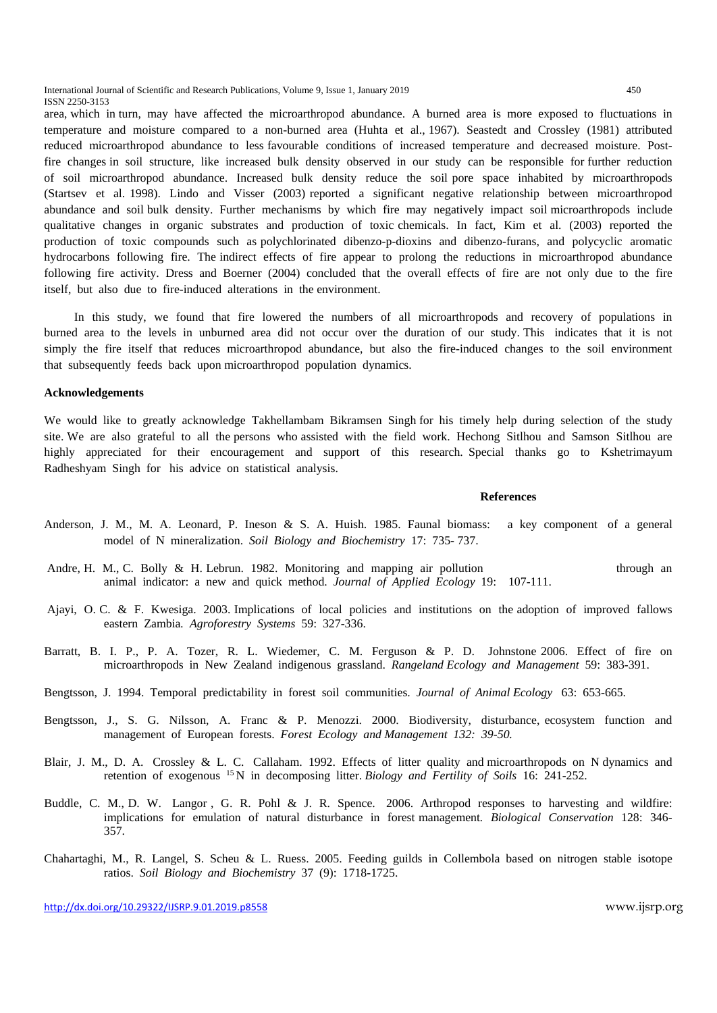International Journal of Scientific and Research Publications, Volume 9, Issue 1, January 2019 450 ISSN 2250-3153

area, which in turn, may have affected the microarthropod abundance. A burned area is more exposed to fluctuations in temperature and moisture compared to a non-burned area (Huhta et al., 1967). Seastedt and Crossley (1981) attributed reduced microarthropod abundance to less favourable conditions of increased temperature and decreased moisture. Postfire changes in soil structure, like increased bulk density observed in our study can be responsible for further reduction of soil microarthropod abundance. Increased bulk density reduce the soil pore space inhabited by microarthropods (Startsev et al. 1998). Lindo and Visser (2003) reported a significant negative relationship between microarthropod abundance and soil bulk density. Further mechanisms by which fire may negatively impact soil microarthropods include qualitative changes in organic substrates and production of toxic chemicals. In fact, Kim et al. (2003) reported the production of toxic compounds such as polychlorinated dibenzo-p-dioxins and dibenzo-furans, and polycyclic aromatic hydrocarbons following fire. The indirect effects of fire appear to prolong the reductions in microarthropod abundance following fire activity. Dress and Boerner (2004) concluded that the overall effects of fire are not only due to the fire itself, but also due to fire-induced alterations in the environment.

 In this study, we found that fire lowered the numbers of all microarthropods and recovery of populations in burned area to the levels in unburned area did not occur over the duration of our study. This indicates that it is not simply the fire itself that reduces microarthropod abundance, but also the fire-induced changes to the soil environment that subsequently feeds back upon microarthropod population dynamics.

## **Acknowledgements**

We would like to greatly acknowledge Takhellambam Bikramsen Singh for his timely help during selection of the study site. We are also grateful to all the persons who assisted with the field work. Hechong Sitlhou and Samson Sitlhou are highly appreciated for their encouragement and support of this research. Special thanks go to Kshetrimayum Radheshyam Singh for his advice on statistical analysis.

#### **References References**

- Anderson, J. M., M. A. Leonard, P. Ineson & S. A. Huish. 1985. Faunal biomass: a key component of a general model of N mineralization. *Soil Biology and Biochemistry* 17: 735- 737.
- Andre, H. M., C. Bolly & H. Lebrun. 1982. Monitoring and mapping air pollution through an animal indicator: a new and quick method. *Journal of Applied Ecology* 19: 107-111.
- Ajayi, O. C. & F. Kwesiga. 2003. Implications of local policies and institutions on the adoption of improved fallows eastern Zambia*. Agroforestry Systems* 59: 327-336.
- Barratt, B. I. P., P. A. Tozer, R. L. Wiedemer, C. M. Ferguson & P. D. Johnstone 2006. Effect of fire on microarthropods in New Zealand indigenous grassland. *Rangeland Ecology and Management* 59: 383-391.
- Bengtsson, J. 1994. Temporal predictability in forest soil communities. *Journal of Animal Ecology* 63: 653-665.
- Bengtsson, J., S. G. Nilsson, A. Franc & P. Menozzi. 2000. Biodiversity, disturbance, ecosystem function and management of European forests. *Forest Ecology and Management 132: 39-50.*
- Blair, J. M., D. A. Crossley & L. C. Callaham. 1992. Effects of litter quality and microarthropods on N dynamics and retention of exogenous 15 N in decomposing litter. *Biology and Fertility of Soils* 16: 241-252.
- Buddle, C. M., D. W. Langor, G. R. Pohl & J. R. Spence. 2006. Arthropod responses to harvesting and wildfire: implications for emulation of natural disturbance in forest management*. Biological Conservation* 128: 346- 357.
- Chahartaghi, M., R. Langel, S. Scheu & L. Ruess. 2005. Feeding guilds in Collembola based on nitrogen stable isotope ratios. *Soil Biology and Biochemistry* 37 (9): 1718-1725.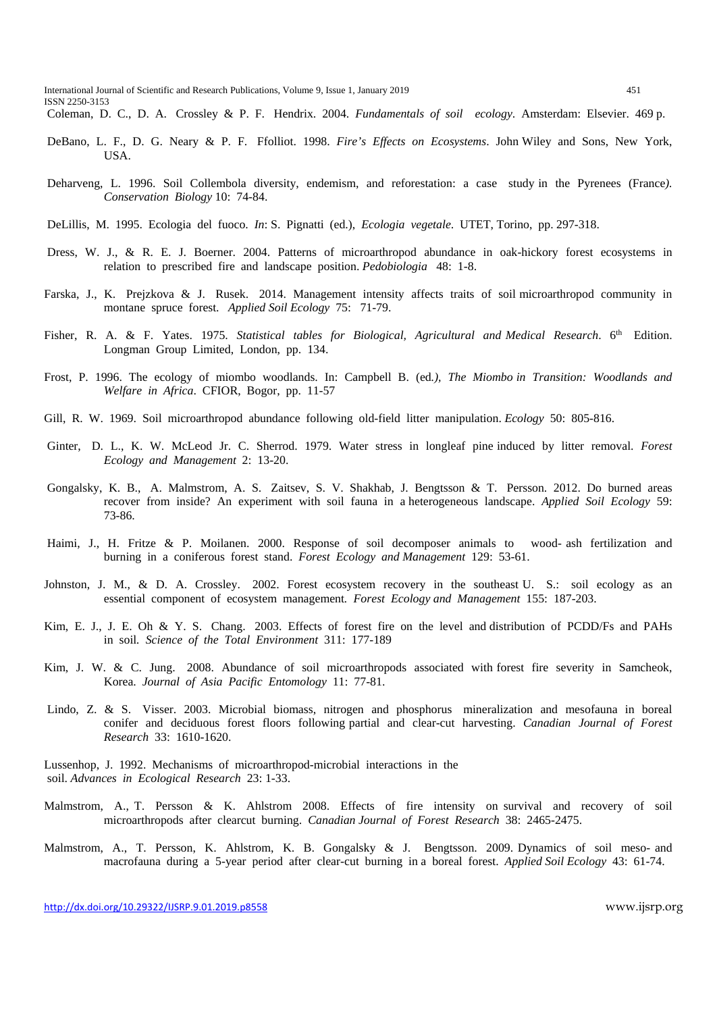International Journal of Scientific and Research Publications, Volume 9, Issue 1, January 2019 451 ISSN 2250-3153

Coleman, D. C., D. A. Crossley & P. F. Hendrix. 2004. *Fundamentals of soil ecology*. Amsterdam: Elsevier. 469 p.

- DeBano, L. F., D. G. Neary & P. F. Ffolliot. 1998. *Fire's Effects on Ecosystems*. John Wiley and Sons, New York, USA.
- Deharveng, L. 1996. Soil Collembola diversity, endemism, and reforestation: a case study in the Pyrenees (France*). Conservation Biol*o*gy* 10: 74-84.
- DeLillis, M. 1995. Ecologia del fuoco. *In*: S. Pignatti (ed.), *Ecologia vegetale*. UTET, Torino, pp. 297-318.
- Dress, W. J., & R. E. J. Boerner. 2004. Patterns of microarthropod abundance in oak-hickory forest ecosystems in relation to prescribed fire and landscape position. *Pedobiologia* 48: 1-8.
- Farska, J., K. Prejzkova & J. Rusek. 2014. Management intensity affects traits of soil microarthropod community in montane spruce forest. *Applied Soil Ecology* 75: 71-79.
- Fisher, R. A. & F. Yates. 1975. *Statistical tables for Biological, Agricultural and Medical Research*. 6<sup>th</sup> Edition. Longman Group Limited, London, pp. 134.
- Frost, P. 1996. The ecology of miombo woodlands. In: Campbell B. (ed*.), The Miombo in Transition: Woodlands and Welfare in Africa*. CFIOR, Bogor, pp. 11-57
- Gill, R. W. 1969. Soil microarthropod abundance following old-field litter manipulation. *Ecology* 50: 805-816.
- Ginter, D. L., K. W. McLeod Jr. C. Sherrod. 1979. Water stress in longleaf pine induced by litter removal. *Forest Ecology and Management* 2: 13-20.
- Gongalsky, K. B., A. Malmstrom, A. S. Zaitsev, S. V. Shakhab, J. Bengtsson & T. Persson. 2012. Do burned areas recover from inside? An experiment with soil fauna in a heterogeneous landscape. *Applied Soil Ecology* 59: 73-86.
- Haimi, J., H. Fritze & P. Moilanen. 2000. Response of soil decomposer animals to wood- ash fertilization and burning in a coniferous forest stand. *Forest Ecology and Management* 129: 53-61.
- Johnston, J. M., & D. A. Crossley. 2002. Forest ecosystem recovery in the southeast U. S.: soil ecology as an essential component of ecosystem management*. Forest Ecology and Management* 155: 187-203.
- Kim, E. J., J. E. Oh & Y. S. Chang. 2003. Effects of forest fire on the level and distribution of PCDD/Fs and PAHs in soil*. Science of the Total Environment* 311: 177-189
- Kim, J. W. & C. Jung. 2008. Abundance of soil microarthropods associated with forest fire severity in Samcheok, Korea. *Journal of Asia Pacific Entomology* 11: 77-81.
- Lindo, Z. & S. Visser. 2003. Microbial biomass, nitrogen and phosphorus mineralization and mesofauna in boreal conifer and deciduous forest floors following partial and clear-cut harvesting. *Canadian Journal of Forest Research* 33: 1610-1620.

Lussenhop, J. 1992. Mechanisms of microarthropod-microbial interactions in the soil. *Advances in Ecological Research* 23: 1-33.

- Malmstrom, A., T. Persson & K. Ahlstrom 2008. Effects of fire intensity on survival and recovery of soil microarthropods after clearcut burning. *Canadian Journal of Forest Research* 38: 2465-2475.
- Malmstrom, A., T. Persson, K. Ahlstrom, K. B. Gongalsky & J. Bengtsson. 2009. Dynamics of soil meso- and macrofauna during a 5-year period after clear-cut burning in a boreal forest. *Applied Soil Ecology* 43: 61-74.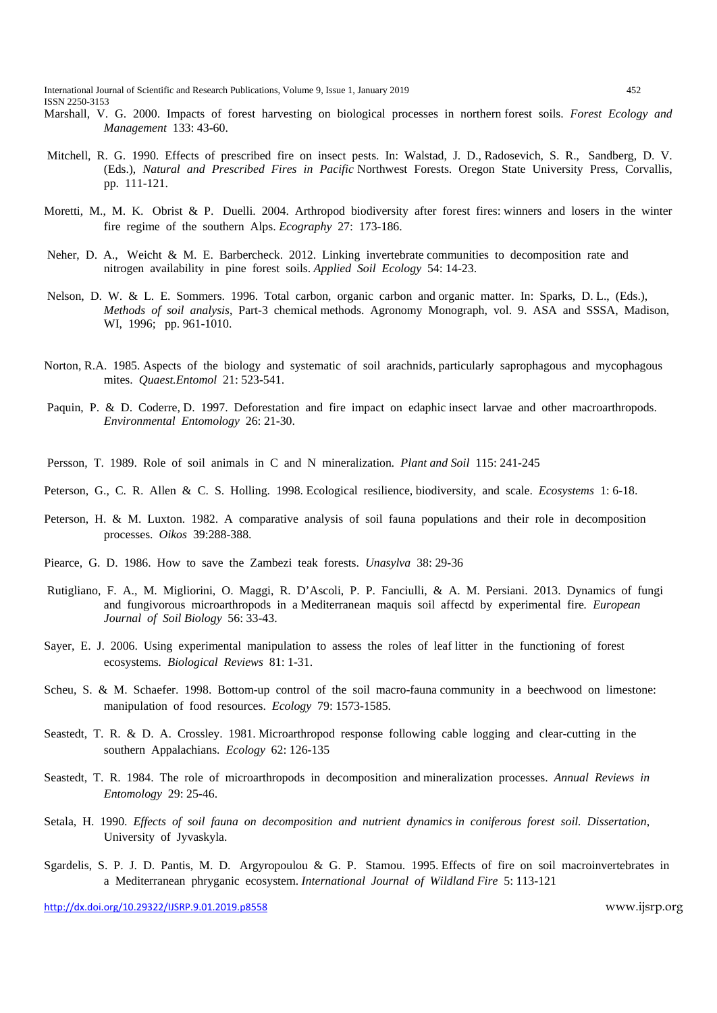- Marshall, V. G. 2000. Impacts of forest harvesting on biological processes in northern forest soils. *Forest Ecology and Management* 133: 43-60.
- Mitchell, R. G. 1990. Effects of prescribed fire on insect pests. In: Walstad, J. D., Radosevich, S. R., Sandberg, D. V. (Eds.), *Natural and Prescribed Fires in Pacific* Northwest Forests. Oregon State University Press, Corvallis, pp. 111-121.
- Moretti, M., M. K. Obrist & P. Duelli. 2004. Arthropod biodiversity after forest fires: winners and losers in the winter fire regime of the southern Alps. *Ecography* 27: 173-186.
- Neher, D. A., Weicht & M. E. Barbercheck. 2012. Linking invertebrate communities to decomposition rate and nitrogen availability in pine forest soils. *Applied Soil Ecology* 54: 14-23.
- Nelson, D. W. & L. E. Sommers. 1996. Total carbon, organic carbon and organic matter. In: Sparks, D. L., (Eds.), *Methods of soil analysis*, Part-3 chemical methods. Agronomy Monograph, vol. 9. ASA and SSSA, Madison, WI, 1996; pp. 961-1010.
- Norton, R.A. 1985. Aspects of the biology and systematic of soil arachnids, particularly saprophagous and mycophagous mites. *Quaest.Entomol* 21: 523-541.
- Paquin, P. & D. Coderre, D. 1997. Deforestation and fire impact on edaphic insect larvae and other macroarthropods. *Environmental Entomology* 26: 21-30.
- Persson, T. 1989. Role of soil animals in C and N mineralization*. Plant and Soil* 115: 241-245
- Peterson, G., C. R. Allen & C. S. Holling. 1998. Ecological resilience, biodiversity, and scale. *Ecosystems* 1: 6-18.
- Peterson, H. & M. Luxton. 1982. A comparative analysis of soil fauna populations and their role in decomposition processes. *Oikos* 39:288-388.
- Piearce, G. D. 1986. How to save the Zambezi teak forests. *Unasylva* 38: 29-36
- Rutigliano, F. A., M. Migliorini, O. Maggi, R. D'Ascoli, P. P. Fanciulli, & A. M. Persiani. 2013. Dynamics of fungi and fungivorous microarthropods in a Mediterranean maquis soil affectd by experimental fire*. European Journal of Soil Biology* 56: 33-43.
- Sayer, E. J. 2006. Using experimental manipulation to assess the roles of leaf litter in the functioning of forest ecosystems*. Biological Reviews* 81: 1-31.
- Scheu, S. & M. Schaefer. 1998. Bottom-up control of the soil macro-fauna community in a beechwood on limestone: manipulation of food resources. *Ecology* 79: 1573-1585.
- Seastedt, T. R. & D. A. Crossley. 1981. Microarthropod response following cable logging and clear-cutting in the southern Appalachians. *Ecology* 62: 126-135
- Seastedt, T. R. 1984. The role of microarthropods in decomposition and mineralization processes. *Annual Reviews in Entomology* 29: 25-46.
- Setala, H. 1990. *Effects of soil fauna on decomposition and nutrient dynamics in coniferous forest soil. Dissertation*, University of Jyvaskyla.
- Sgardelis, S. P. J. D. Pantis, M. D. Argyropoulou & G. P. Stamou. 1995. Effects of fire on soil macroinvertebrates in a Mediterranean phryganic ecosystem. *International Journal of Wildland Fire* 5: 113-121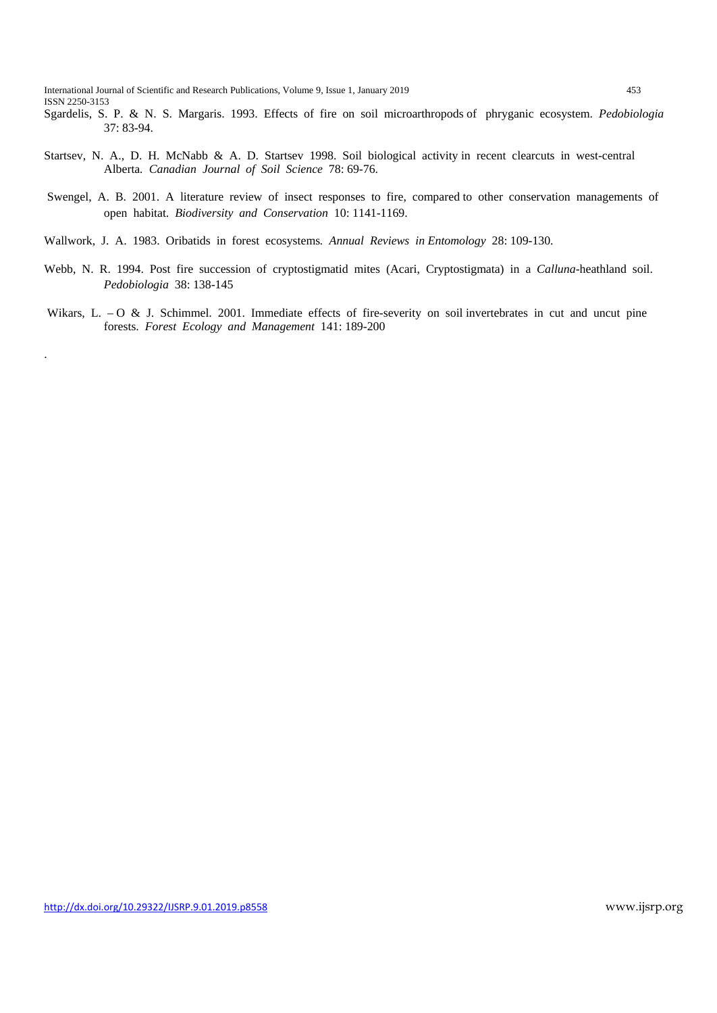International Journal of Scientific and Research Publications, Volume 9, Issue 1, January 2019 453 ISSN 2250-3153

- Sgardelis, S. P. & N. S. Margaris. 1993. Effects of fire on soil microarthropods of phryganic ecosystem. *Pedobiologia*  37: 83-94.
- Startsev, N. A., D. H. McNabb & A. D. Startsev 1998. Soil biological activity in recent clearcuts in west-central Alberta*. Canadian Journal of Soil Science* 78: 69-76.
- Swengel, A. B. 2001. A literature review of insect responses to fire, compared to other conservation managements of open habitat. *Biodiversity and Conservation* 10: 1141-1169.
- Wallwork, J. A. 1983. Oribatids in forest ecosystems*. Annual Reviews in Entomology* 28: 109-130.
- Webb, N. R. 1994. Post fire succession of cryptostigmatid mites (Acari, Cryptostigmata) in a *Calluna*-heathland soil. *Pedobiologia* 38: 138-145
- Wikars, L.  $-$  O & J. Schimmel. 2001. Immediate effects of fire-severity on soil invertebrates in cut and uncut pine forests. *Forest Ecology and Management* 141: 189-200

.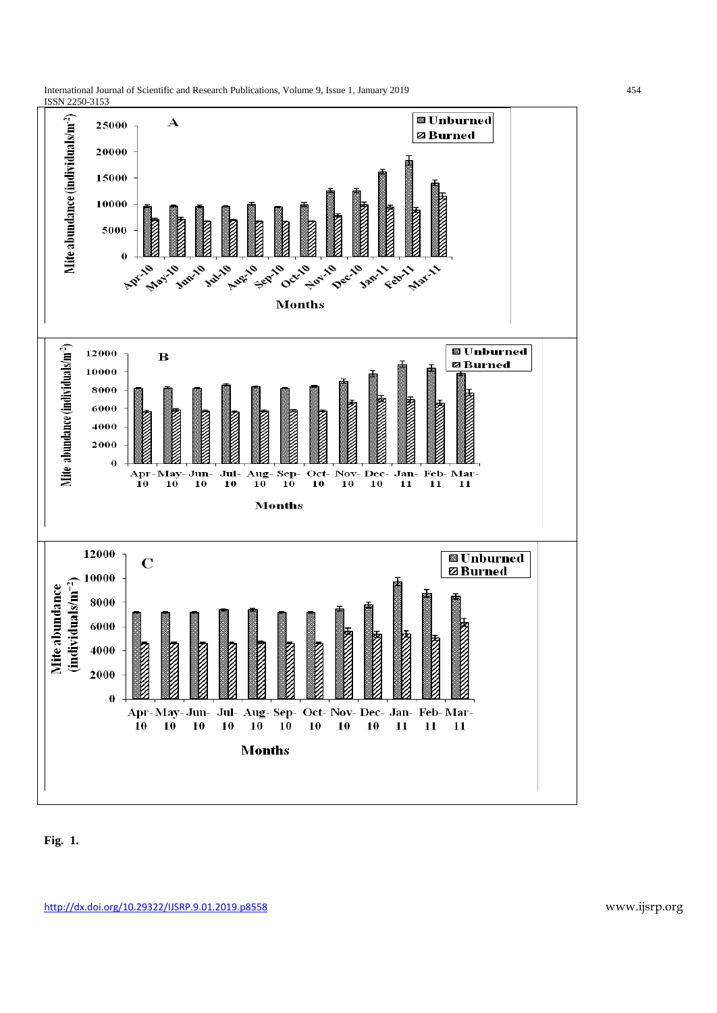



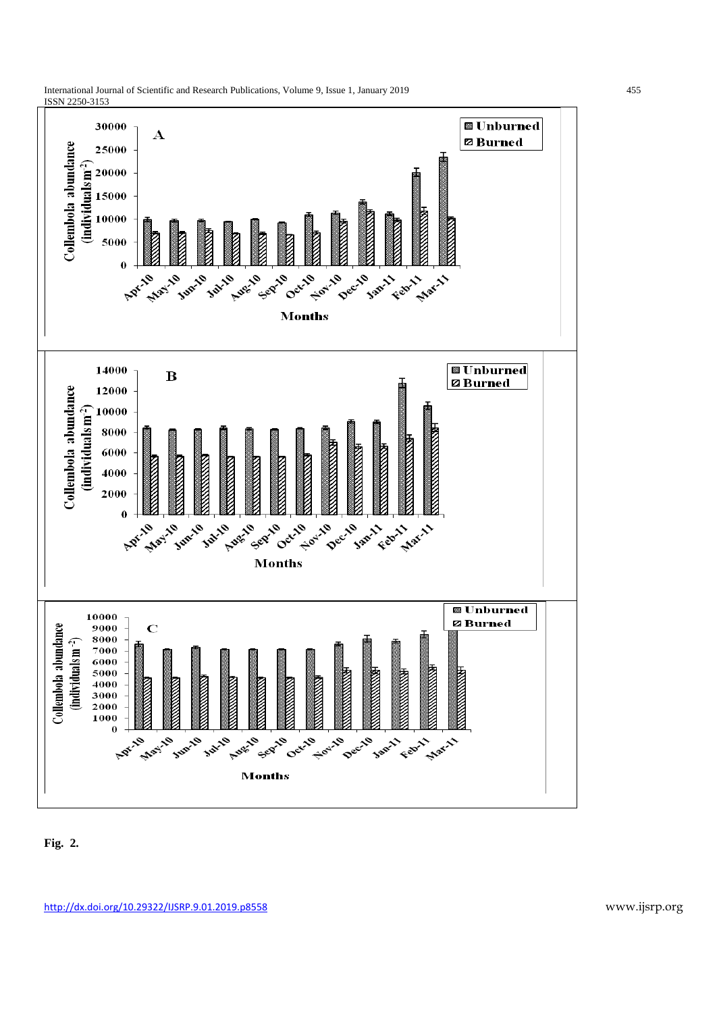



## **Fig. 2.**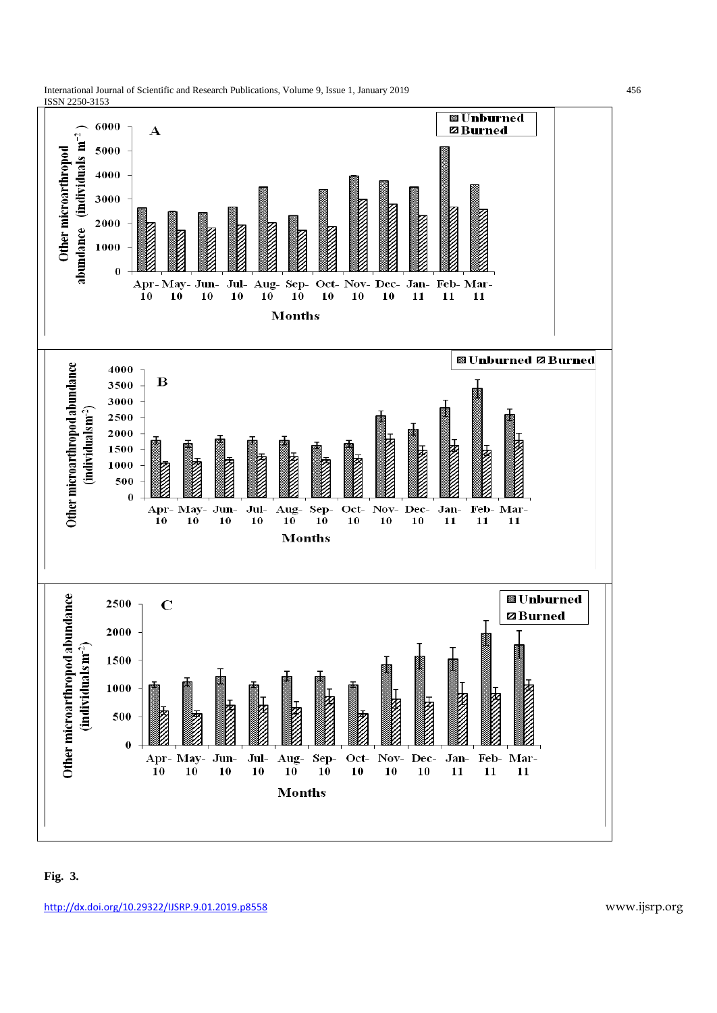



# **Fig. 3.**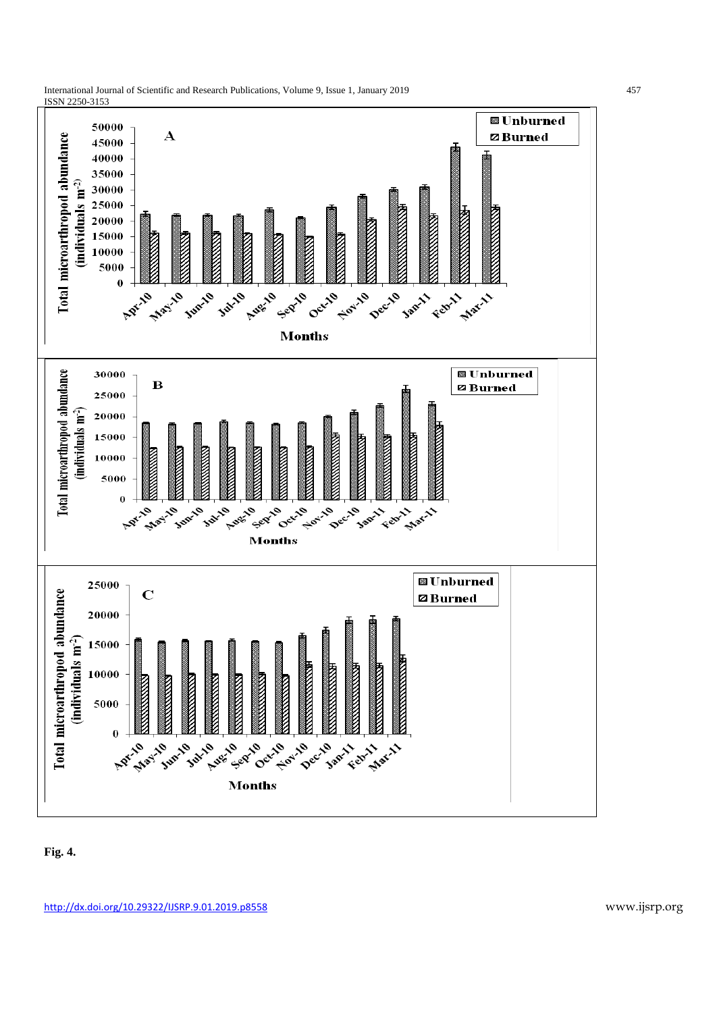



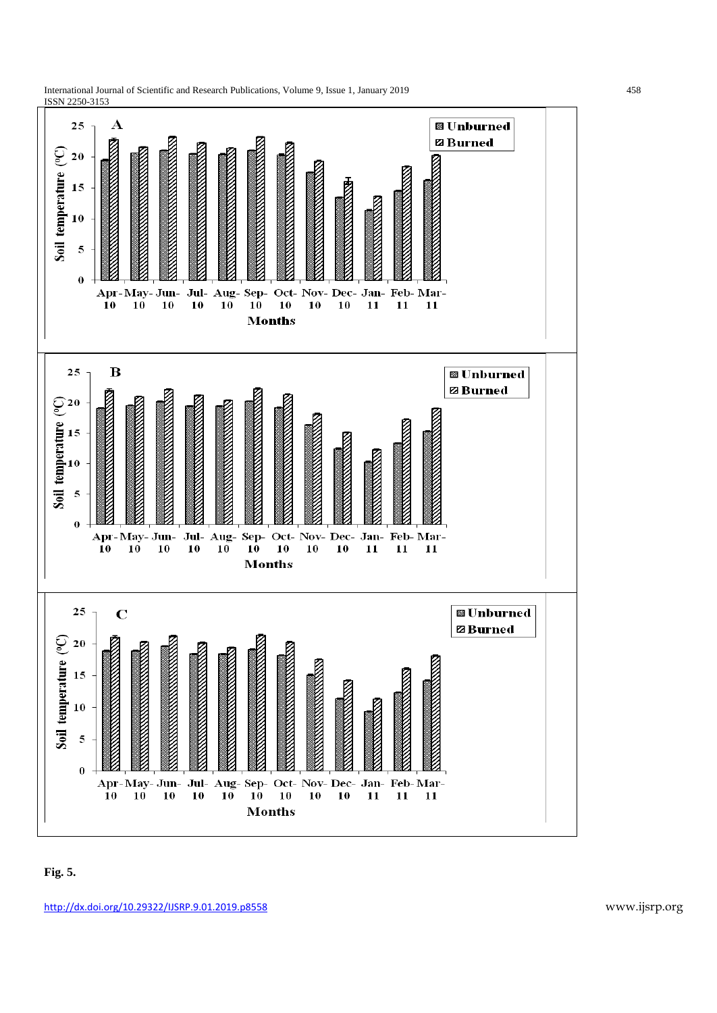

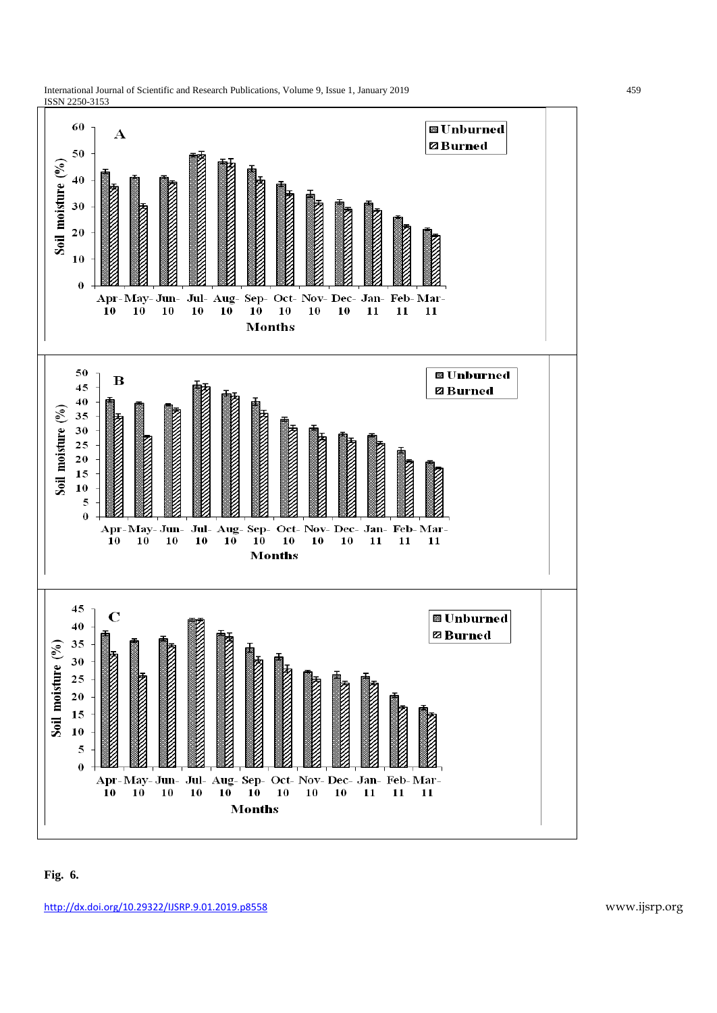

# **Fig. 6.**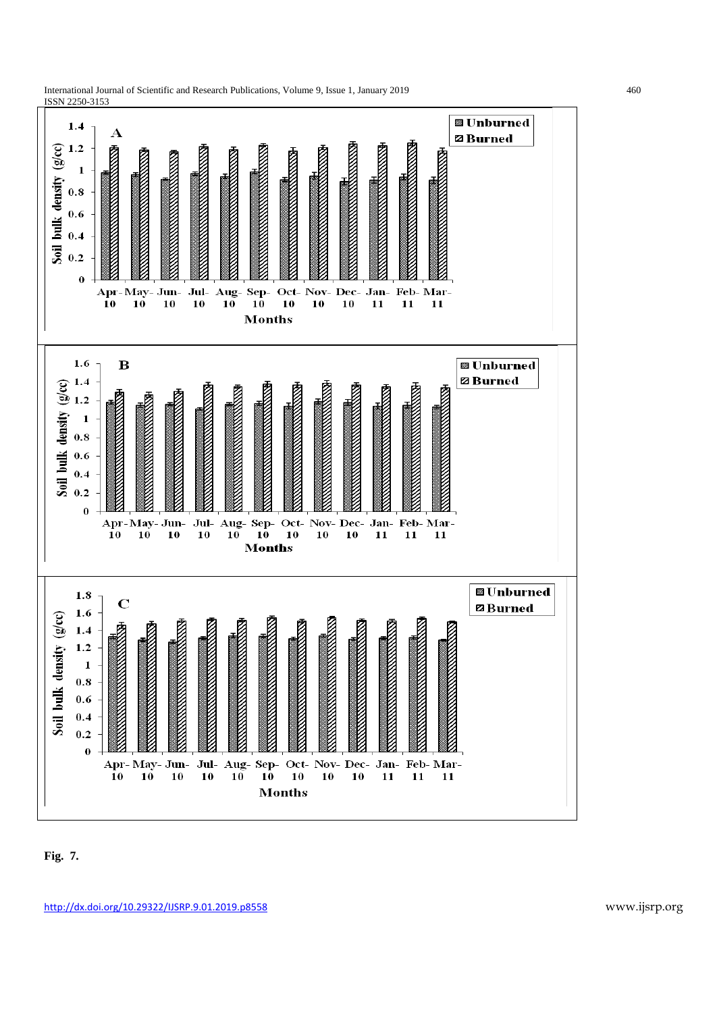

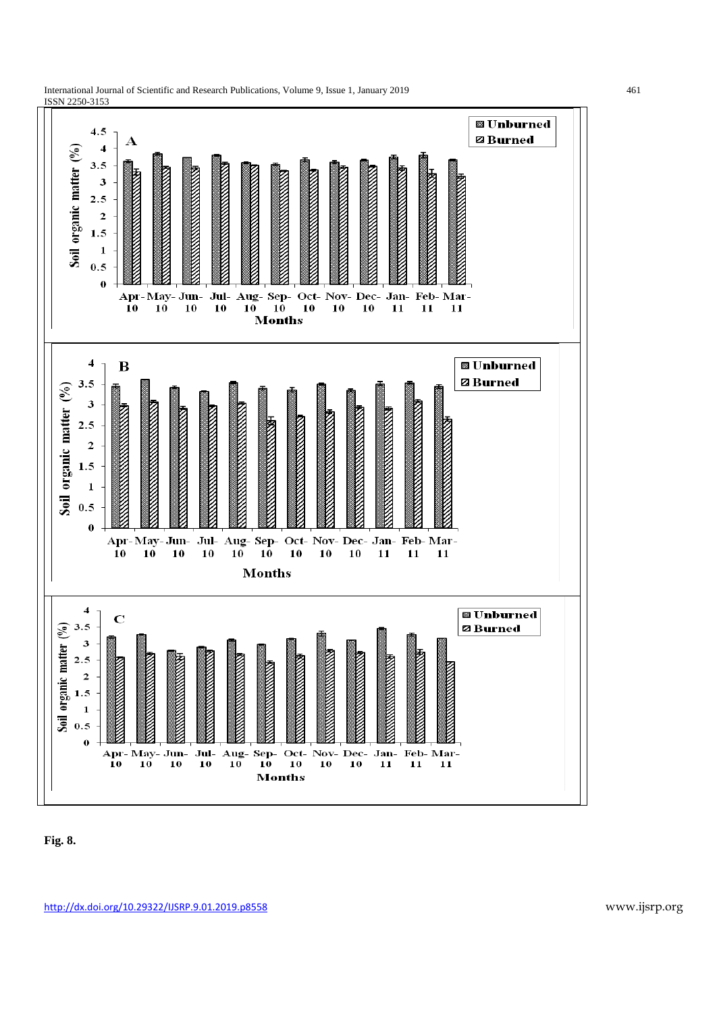

International Journal of Scientific and Research Publications, Volume 9, Issue 1, January 2019 461

**Fig. 8.**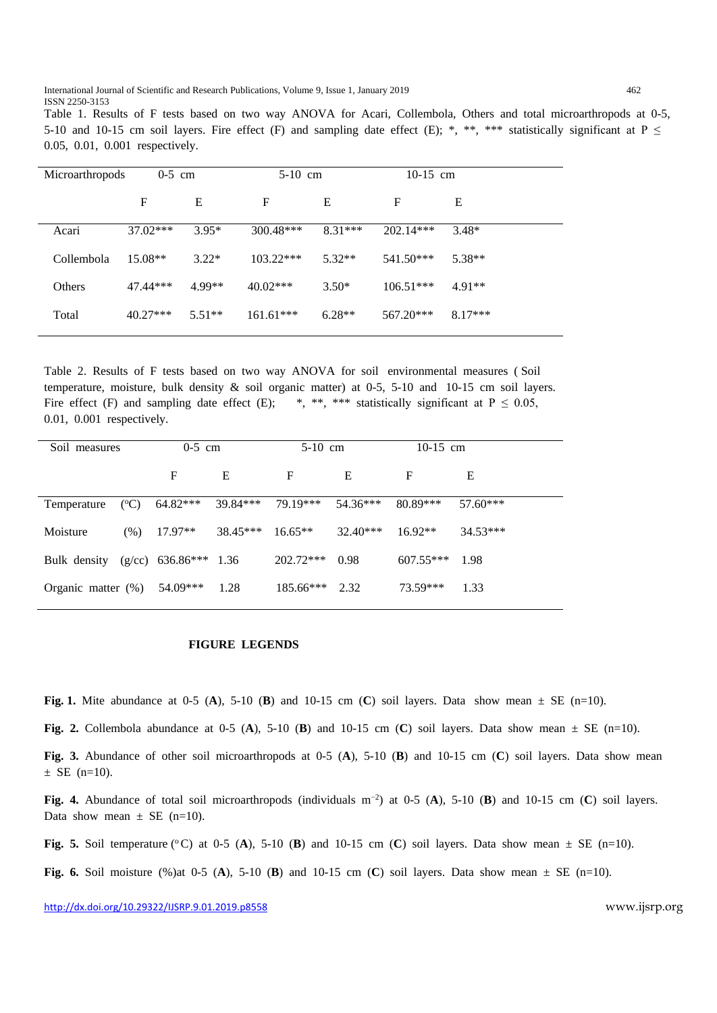International Journal of Scientific and Research Publications, Volume 9, Issue 1, January 2019 462 ISSN 2250-3153

|                                   |  | Table 1. Results of F tests based on two way ANOVA for Acari, Collembola, Others and total microarthropods at 0-5,           |
|-----------------------------------|--|------------------------------------------------------------------------------------------------------------------------------|
|                                   |  | 5-10 and 10-15 cm soil layers. Fire effect (F) and sampling date effect (E); *, **, *** statistically significant at $P \le$ |
| $0.05, 0.01, 0.001$ respectively. |  |                                                                                                                              |

| $0-5$ cm<br>Microarthropods |            | $5-10$ cm |             | $10-15$ cm |             |           |
|-----------------------------|------------|-----------|-------------|------------|-------------|-----------|
|                             | F          | E         | F           | E          | F           | Е         |
| Acari                       | $37.02***$ | $3.95*$   | $300.48***$ | $8.31***$  | $202.14***$ | $3.48*$   |
| Collembola                  | $15.08**$  | $3.22*$   | $103.22***$ | $5.32**$   | $541.50***$ | 5.38**    |
| <b>Others</b>               | 47.44***   | 4.99**    | $40.02***$  | $3.50*$    | $106.51***$ | $4.91**$  |
| Total                       | $40.27***$ | $5.51**$  | $161.61***$ | $6.28**$   | 567.20***   | $8.17***$ |
|                             |            |           |             |            |             |           |

Table 2. Results of F tests based on two way ANOVA for soil environmental measures ( Soil temperature, moisture, bulk density & soil organic matter) at 0-5, 5-10 and 10-15 cm soil layers. Fire effect (F) and sampling date effect (E); \*, \*\*, \*\*\* statistically significant at  $P \le 0.05$ , 0.01, 0.001 respectively.

| Soil measures                        |                 |           | $0-5$ cm |                  | $5-10$ cm |             | $10-15$ cm |
|--------------------------------------|-----------------|-----------|----------|------------------|-----------|-------------|------------|
|                                      |                 | F         | E        | F                | E         | F           | E          |
| Temperature                          | $({}^{\circ}C)$ | 64.82***  | 39.84*** | 79.19***         | 54.36***  | 80.89***    | $57.60***$ |
| Moisture                             | (% )            | $17.97**$ | 38.45*** | $16.65**$        | 32.40***  | $16.92**$   | $34.53***$ |
| Bulk density $(g/cc)$ 636.86*** 1.36 |                 |           |          | $202.72***$      | 0.98      | $607.55***$ | 1.98       |
| Organic matter $(\%)$ 54.09***       |                 |           | 1.28     | $185.66***$ 2.32 |           | 73.59***    | 1.33       |

#### **FIGURE LEGENDS**

Fig. 1. Mite abundance at 0-5 (A), 5-10 (B) and 10-15 cm (C) soil layers. Data show mean  $\pm$  SE (n=10).

**Fig. 2.** Collembola abundance at 0-5 (A), 5-10 (B) and 10-15 cm (C) soil layers. Data show mean  $\pm$  SE (n=10).

**Fig. 3.** Abundance of other soil microarthropods at 0-5 (**A**), 5-10 (**B**) and 10-15 cm (**C**) soil layers. Data show mean  $\pm$  SE (n=10).

**Fig. 4.** Abundance of total soil microarthropods (individuals m<sup>−</sup><sup>2</sup> ) at 0-5 (**A**), 5-10 (**B**) and 10-15 cm (**C**) soil layers. Data show mean  $\pm$  SE (n=10).

**Fig. 5.** Soil temperature (°C) at 0-5 (A), 5-10 (B) and 10-15 cm (C) soil layers. Data show mean  $\pm$  SE (n=10).

**Fig. 6.** Soil moisture (%)at 0-5 (A), 5-10 (B) and 10-15 cm (C) soil layers. Data show mean  $\pm$  SE (n=10).